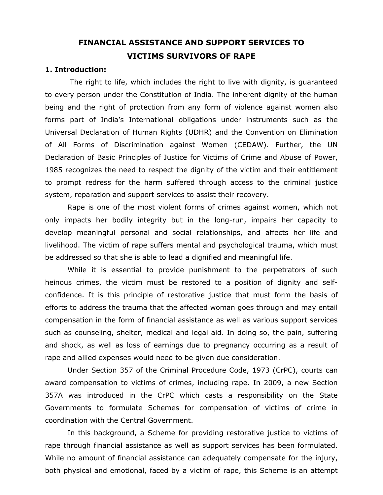# **FINANCIAL ASSISTANCE AND SUPPORT SERVICES TO VICTIMS SURVIVORS OF RAPE**

#### **1. Introduction:**

The right to life, which includes the right to live with dignity, is guaranteed to every person under the Constitution of India. The inherent dignity of the human being and the right of protection from any form of violence against women also forms part of India's International obligations under instruments such as the Universal Declaration of Human Rights (UDHR) and the Convention on Elimination of All Forms of Discrimination against Women (CEDAW). Further, the UN Declaration of Basic Principles of Justice for Victims of Crime and Abuse of Power, 1985 recognizes the need to respect the dignity of the victim and their entitlement to prompt redress for the harm suffered through access to the criminal justice system, reparation and support services to assist their recovery.

Rape is one of the most violent forms of crimes against women, which not only impacts her bodily integrity but in the long-run, impairs her capacity to develop meaningful personal and social relationships, and affects her life and livelihood. The victim of rape suffers mental and psychological trauma, which must be addressed so that she is able to lead a dignified and meaningful life.

While it is essential to provide punishment to the perpetrators of such heinous crimes, the victim must be restored to a position of dignity and selfconfidence. It is this principle of restorative justice that must form the basis of efforts to address the trauma that the affected woman goes through and may entail compensation in the form of financial assistance as well as various support services such as counseling, shelter, medical and legal aid. In doing so, the pain, suffering and shock, as well as loss of earnings due to pregnancy occurring as a result of rape and allied expenses would need to be given due consideration.

Under Section 357 of the Criminal Procedure Code, 1973 (CrPC), courts can award compensation to victims of crimes, including rape. In 2009, a new Section 357A was introduced in the CrPC which casts a responsibility on the State Governments to formulate Schemes for compensation of victims of crime in coordination with the Central Government.

In this background, a Scheme for providing restorative justice to victims of rape through financial assistance as well as support services has been formulated. While no amount of financial assistance can adequately compensate for the injury, both physical and emotional, faced by a victim of rape, this Scheme is an attempt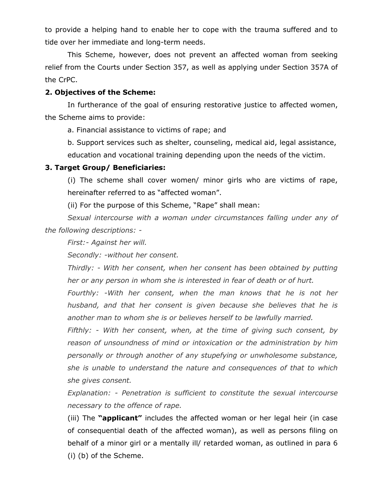to provide a helping hand to enable her to cope with the trauma suffered and to tide over her immediate and long-term needs.

This Scheme, however, does not prevent an affected woman from seeking relief from the Courts under Section 357, as well as applying under Section 357A of the CrPC.

#### **2. Objectives of the Scheme:**

In furtherance of the goal of ensuring restorative justice to affected women, the Scheme aims to provide:

a. Financial assistance to victims of rape; and

b. Support services such as shelter, counseling, medical aid, legal assistance, education and vocational training depending upon the needs of the victim.

#### **3. Target Group/ Beneficiaries:**

(i) The scheme shall cover women/ minor girls who are victims of rape, hereinafter referred to as "affected woman".

(ii) For the purpose of this Scheme, "Rape" shall mean:

*Sexual intercourse with a woman under circumstances falling under any of the following descriptions: -* 

*First:- Against her will.* 

*Secondly: -without her consent.* 

*Thirdly: - With her consent, when her consent has been obtained by putting her or any person in whom she is interested in fear of death or of hurt.* 

*Fourthly: -With her consent, when the man knows that he is not her husband, and that her consent is given because she believes that he is another man to whom she is or believes herself to be lawfully married.* 

*Fifthly: - With her consent, when, at the time of giving such consent, by reason of unsoundness of mind or intoxication or the administration by him personally or through another of any stupefying or unwholesome substance, she is unable to understand the nature and consequences of that to which she gives consent.* 

*Explanation: - Penetration is sufficient to constitute the sexual intercourse necessary to the offence of rape.* 

(iii) The **"applicant"** includes the affected woman or her legal heir (in case of consequential death of the affected woman), as well as persons filing on behalf of a minor girl or a mentally ill/ retarded woman, as outlined in para 6 (i) (b) of the Scheme.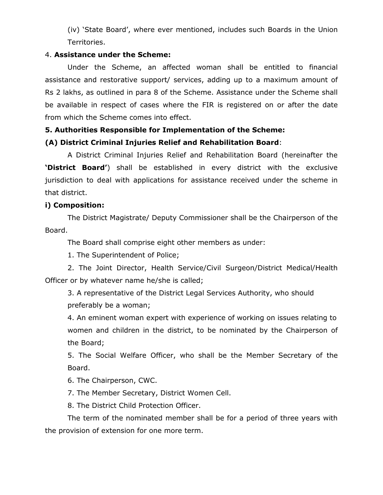(iv) 'State Board', where ever mentioned, includes such Boards in the Union Territories.

#### 4. **Assistance under the Scheme:**

Under the Scheme, an affected woman shall be entitled to financial assistance and restorative support/ services, adding up to a maximum amount of Rs 2 lakhs, as outlined in para 8 of the Scheme. Assistance under the Scheme shall be available in respect of cases where the FIR is registered on or after the date from which the Scheme comes into effect.

## **5. Authorities Responsible for Implementation of the Scheme:**

## **(A) District Criminal Injuries Relief and Rehabilitation Board**:

A District Criminal Injuries Relief and Rehabilitation Board (hereinafter the **'District Board'**) shall be established in every district with the exclusive jurisdiction to deal with applications for assistance received under the scheme in that district.

#### **i) Composition:**

The District Magistrate/ Deputy Commissioner shall be the Chairperson of the Board.

The Board shall comprise eight other members as under:

1. The Superintendent of Police;

2. The Joint Director, Health Service/Civil Surgeon/District Medical/Health Officer or by whatever name he/she is called;

3. A representative of the District Legal Services Authority, who should preferably be a woman;

4. An eminent woman expert with experience of working on issues relating to women and children in the district, to be nominated by the Chairperson of the Board;

5. The Social Welfare Officer, who shall be the Member Secretary of the Board.

6. The Chairperson, CWC.

7. The Member Secretary, District Women Cell.

8. The District Child Protection Officer.

The term of the nominated member shall be for a period of three years with the provision of extension for one more term.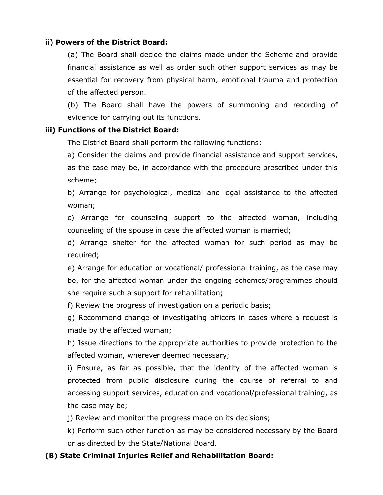#### **ii) Powers of the District Board:**

(a) The Board shall decide the claims made under the Scheme and provide financial assistance as well as order such other support services as may be essential for recovery from physical harm, emotional trauma and protection of the affected person.

(b) The Board shall have the powers of summoning and recording of evidence for carrying out its functions.

#### **iii) Functions of the District Board:**

The District Board shall perform the following functions:

a) Consider the claims and provide financial assistance and support services, as the case may be, in accordance with the procedure prescribed under this scheme;

b) Arrange for psychological, medical and legal assistance to the affected woman;

c) Arrange for counseling support to the affected woman, including counseling of the spouse in case the affected woman is married;

d) Arrange shelter for the affected woman for such period as may be required;

e) Arrange for education or vocational/ professional training, as the case may be, for the affected woman under the ongoing schemes/programmes should she require such a support for rehabilitation;

f) Review the progress of investigation on a periodic basis;

g) Recommend change of investigating officers in cases where a request is made by the affected woman;

h) Issue directions to the appropriate authorities to provide protection to the affected woman, wherever deemed necessary;

i) Ensure, as far as possible, that the identity of the affected woman is protected from public disclosure during the course of referral to and accessing support services, education and vocational/professional training, as the case may be;

j) Review and monitor the progress made on its decisions;

k) Perform such other function as may be considered necessary by the Board or as directed by the State/National Board.

#### **(B) State Criminal Injuries Relief and Rehabilitation Board:**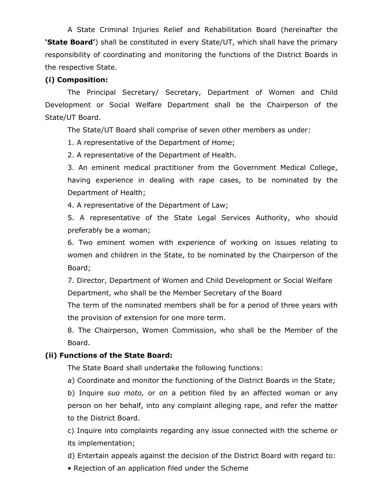A State Criminal Injuries Relief and Rehabilitation Board (hereinafter the **'State Board'**) shall be constituted in every State/UT, which shall have the primary responsibility of coordinating and monitoring the functions of the District Boards in the respective State.

## **(i) Composition:**

The Principal Secretary/ Secretary, Department of Women and Child Development or Social Welfare Department shall be the Chairperson of the State/UT Board.

The State/UT Board shall comprise of seven other members as under:

1. A representative of the Department of Home;

2. A representative of the Department of Health.

3. An eminent medical practitioner from the Government Medical College, having experience in dealing with rape cases, to be nominated by the Department of Health;

4. A representative of the Department of Law;

5. A representative of the State Legal Services Authority, who should preferably be a woman;

6. Two eminent women with experience of working on issues relating to women and children in the State, to be nominated by the Chairperson of the Board;

7. Director, Department of Women and Child Development or Social Welfare Department, who shall be the Member Secretary of the Board

The term of the nominated members shall be for a period of three years with the provision of extension for one more term.

8. The Chairperson, Women Commission, who shall be the Member of the Board.

# **(ii) Functions of the State Board:**

The State Board shall undertake the following functions:

a) Coordinate and monitor the functioning of the District Boards in the State;

b) Inquire *suo moto,* or on a petition filed by an affected woman or any person on her behalf, into any complaint alleging rape, and refer the matter to the District Board.

c) Inquire into complaints regarding any issue connected with the scheme or its implementation;

d) Entertain appeals against the decision of the District Board with regard to:

• Rejection of an application filed under the Scheme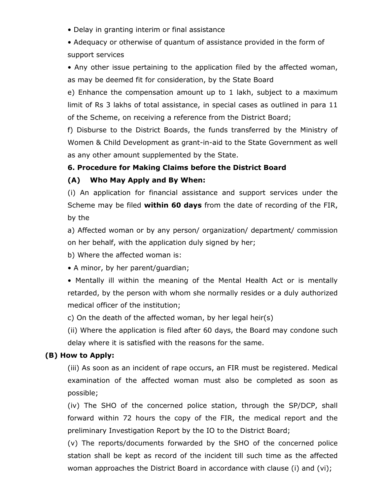• Delay in granting interim or final assistance

• Adequacy or otherwise of quantum of assistance provided in the form of support services

• Any other issue pertaining to the application filed by the affected woman, as may be deemed fit for consideration, by the State Board

e) Enhance the compensation amount up to 1 lakh, subject to a maximum limit of Rs 3 lakhs of total assistance, in special cases as outlined in para 11 of the Scheme, on receiving a reference from the District Board;

f) Disburse to the District Boards, the funds transferred by the Ministry of Women & Child Development as grant-in-aid to the State Government as well as any other amount supplemented by the State.

## **6. Procedure for Making Claims before the District Board**

## **(A) Who May Apply and By When:**

(i) An application for financial assistance and support services under the Scheme may be filed **within 60 days** from the date of recording of the FIR, by the

a) Affected woman or by any person/ organization/ department/ commission on her behalf, with the application duly signed by her;

b) Where the affected woman is:

• A minor, by her parent/guardian;

• Mentally ill within the meaning of the Mental Health Act or is mentally retarded, by the person with whom she normally resides or a duly authorized medical officer of the institution;

c) On the death of the affected woman, by her legal heir(s)

(ii) Where the application is filed after 60 days, the Board may condone such delay where it is satisfied with the reasons for the same.

## **(B) How to Apply:**

(iii) As soon as an incident of rape occurs, an FIR must be registered. Medical examination of the affected woman must also be completed as soon as possible;

(iv) The SHO of the concerned police station, through the SP/DCP, shall forward within 72 hours the copy of the FIR, the medical report and the preliminary Investigation Report by the IO to the District Board;

(v) The reports/documents forwarded by the SHO of the concerned police station shall be kept as record of the incident till such time as the affected woman approaches the District Board in accordance with clause (i) and (vi);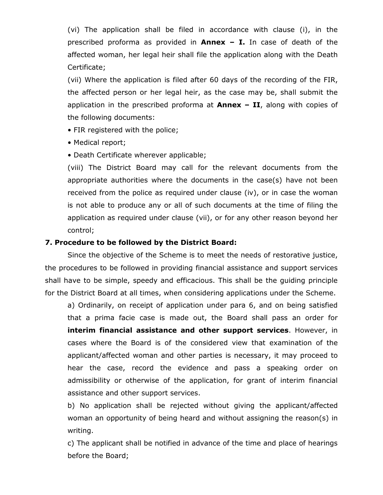(vi) The application shall be filed in accordance with clause (i), in the prescribed proforma as provided in **Annex – I.** In case of death of the affected woman, her legal heir shall file the application along with the Death Certificate;

(vii) Where the application is filed after 60 days of the recording of the FIR, the affected person or her legal heir, as the case may be, shall submit the application in the prescribed proforma at **Annex – II**, along with copies of the following documents:

- FIR registered with the police;
- Medical report;
- Death Certificate wherever applicable;

(viii) The District Board may call for the relevant documents from the appropriate authorities where the documents in the case(s) have not been received from the police as required under clause (iv), or in case the woman is not able to produce any or all of such documents at the time of filing the application as required under clause (vii), or for any other reason beyond her control;

#### **7. Procedure to be followed by the District Board:**

Since the objective of the Scheme is to meet the needs of restorative justice, the procedures to be followed in providing financial assistance and support services shall have to be simple, speedy and efficacious. This shall be the guiding principle for the District Board at all times, when considering applications under the Scheme.

a) Ordinarily, on receipt of application under para 6, and on being satisfied that a prima facie case is made out, the Board shall pass an order for **interim financial assistance and other support services**. However, in cases where the Board is of the considered view that examination of the applicant/affected woman and other parties is necessary, it may proceed to hear the case, record the evidence and pass a speaking order on admissibility or otherwise of the application, for grant of interim financial assistance and other support services.

b) No application shall be rejected without giving the applicant/affected woman an opportunity of being heard and without assigning the reason(s) in writing.

c) The applicant shall be notified in advance of the time and place of hearings before the Board;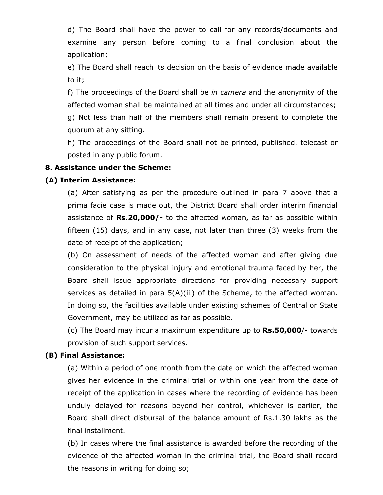d) The Board shall have the power to call for any records/documents and examine any person before coming to a final conclusion about the application;

e) The Board shall reach its decision on the basis of evidence made available to it;

f) The proceedings of the Board shall be *in camera* and the anonymity of the affected woman shall be maintained at all times and under all circumstances;

g) Not less than half of the members shall remain present to complete the quorum at any sitting.

h) The proceedings of the Board shall not be printed, published, telecast or posted in any public forum.

## **8. Assistance under the Scheme:**

## **(A) Interim Assistance:**

(a) After satisfying as per the procedure outlined in para 7 above that a prima facie case is made out, the District Board shall order interim financial assistance of **Rs.20,000/-** to the affected woman**,** as far as possible within fifteen (15) days, and in any case, not later than three (3) weeks from the date of receipt of the application;

(b) On assessment of needs of the affected woman and after giving due consideration to the physical injury and emotional trauma faced by her, the Board shall issue appropriate directions for providing necessary support services as detailed in para 5(A)(iii) of the Scheme, to the affected woman. In doing so, the facilities available under existing schemes of Central or State Government, may be utilized as far as possible.

(c) The Board may incur a maximum expenditure up to **Rs.50,000**/- towards provision of such support services.

## **(B) Final Assistance:**

(a) Within a period of one month from the date on which the affected woman gives her evidence in the criminal trial or within one year from the date of receipt of the application in cases where the recording of evidence has been unduly delayed for reasons beyond her control, whichever is earlier, the Board shall direct disbursal of the balance amount of Rs.1.30 lakhs as the final installment.

(b) In cases where the final assistance is awarded before the recording of the evidence of the affected woman in the criminal trial, the Board shall record the reasons in writing for doing so;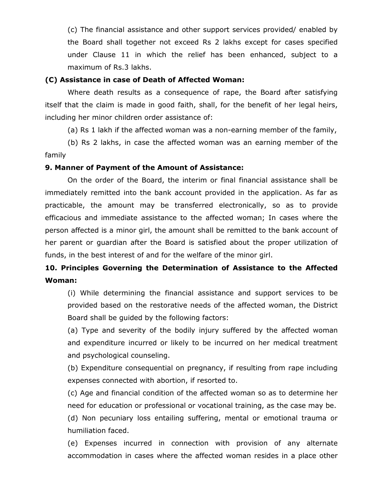(c) The financial assistance and other support services provided/ enabled by the Board shall together not exceed Rs 2 lakhs except for cases specified under Clause 11 in which the relief has been enhanced, subject to a maximum of Rs.3 lakhs.

#### **(C) Assistance in case of Death of Affected Woman:**

Where death results as a consequence of rape, the Board after satisfying itself that the claim is made in good faith, shall, for the benefit of her legal heirs, including her minor children order assistance of:

(a) Rs 1 lakh if the affected woman was a non-earning member of the family,

(b) Rs 2 lakhs, in case the affected woman was an earning member of the family

#### **9. Manner of Payment of the Amount of Assistance:**

On the order of the Board, the interim or final financial assistance shall be immediately remitted into the bank account provided in the application. As far as practicable, the amount may be transferred electronically, so as to provide efficacious and immediate assistance to the affected woman; In cases where the person affected is a minor girl, the amount shall be remitted to the bank account of her parent or guardian after the Board is satisfied about the proper utilization of funds, in the best interest of and for the welfare of the minor girl.

# **10. Principles Governing the Determination of Assistance to the Affected Woman:**

(i) While determining the financial assistance and support services to be provided based on the restorative needs of the affected woman, the District Board shall be guided by the following factors:

(a) Type and severity of the bodily injury suffered by the affected woman and expenditure incurred or likely to be incurred on her medical treatment and psychological counseling.

(b) Expenditure consequential on pregnancy, if resulting from rape including expenses connected with abortion, if resorted to.

(c) Age and financial condition of the affected woman so as to determine her need for education or professional or vocational training, as the case may be.

(d) Non pecuniary loss entailing suffering, mental or emotional trauma or humiliation faced.

(e) Expenses incurred in connection with provision of any alternate accommodation in cases where the affected woman resides in a place other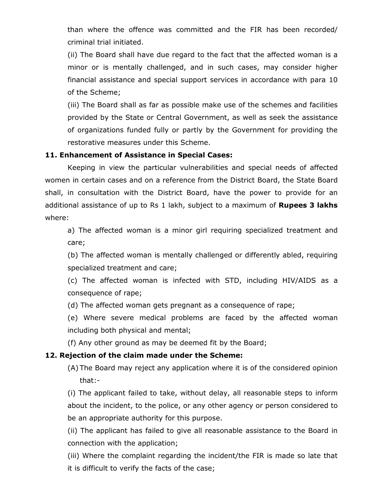than where the offence was committed and the FIR has been recorded/ criminal trial initiated.

(ii) The Board shall have due regard to the fact that the affected woman is a minor or is mentally challenged, and in such cases, may consider higher financial assistance and special support services in accordance with para 10 of the Scheme;

(iii) The Board shall as far as possible make use of the schemes and facilities provided by the State or Central Government, as well as seek the assistance of organizations funded fully or partly by the Government for providing the restorative measures under this Scheme.

## **11. Enhancement of Assistance in Special Cases:**

Keeping in view the particular vulnerabilities and special needs of affected women in certain cases and on a reference from the District Board, the State Board shall, in consultation with the District Board, have the power to provide for an additional assistance of up to Rs 1 lakh, subject to a maximum of **Rupees 3 lakhs**  where:

a) The affected woman is a minor girl requiring specialized treatment and care;

(b) The affected woman is mentally challenged or differently abled, requiring specialized treatment and care;

(c) The affected woman is infected with STD, including HIV/AIDS as a consequence of rape;

(d) The affected woman gets pregnant as a consequence of rape;

(e) Where severe medical problems are faced by the affected woman including both physical and mental;

(f) Any other ground as may be deemed fit by the Board;

## **12. Rejection of the claim made under the Scheme:**

(A) The Board may reject any application where it is of the considered opinion that:-

(i) The applicant failed to take, without delay, all reasonable steps to inform about the incident, to the police, or any other agency or person considered to be an appropriate authority for this purpose.

(ii) The applicant has failed to give all reasonable assistance to the Board in connection with the application;

(iii) Where the complaint regarding the incident/the FIR is made so late that it is difficult to verify the facts of the case;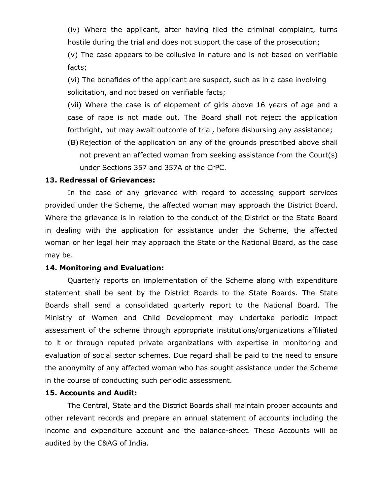(iv) Where the applicant, after having filed the criminal complaint, turns hostile during the trial and does not support the case of the prosecution;

(v) The case appears to be collusive in nature and is not based on verifiable facts;

(vi) The bonafides of the applicant are suspect, such as in a case involving solicitation, and not based on verifiable facts;

(vii) Where the case is of elopement of girls above 16 years of age and a case of rape is not made out. The Board shall not reject the application forthright, but may await outcome of trial, before disbursing any assistance;

(B) Rejection of the application on any of the grounds prescribed above shall not prevent an affected woman from seeking assistance from the Court(s) under Sections 357 and 357A of the CrPC.

#### **13. Redressal of Grievances:**

In the case of any grievance with regard to accessing support services provided under the Scheme, the affected woman may approach the District Board. Where the grievance is in relation to the conduct of the District or the State Board in dealing with the application for assistance under the Scheme, the affected woman or her legal heir may approach the State or the National Board, as the case may be.

#### **14. Monitoring and Evaluation:**

Quarterly reports on implementation of the Scheme along with expenditure statement shall be sent by the District Boards to the State Boards. The State Boards shall send a consolidated quarterly report to the National Board. The Ministry of Women and Child Development may undertake periodic impact assessment of the scheme through appropriate institutions/organizations affiliated to it or through reputed private organizations with expertise in monitoring and evaluation of social sector schemes. Due regard shall be paid to the need to ensure the anonymity of any affected woman who has sought assistance under the Scheme in the course of conducting such periodic assessment.

#### **15. Accounts and Audit:**

The Central, State and the District Boards shall maintain proper accounts and other relevant records and prepare an annual statement of accounts including the income and expenditure account and the balance-sheet. These Accounts will be audited by the C&AG of India.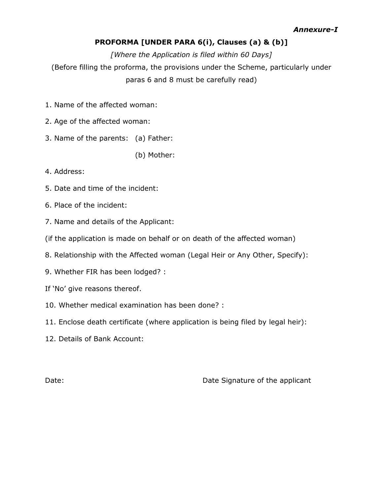## **PROFORMA [UNDER PARA 6(i), Clauses (a) & (b)]**

*[Where the Application is filed within 60 Days]*  (Before filling the proforma, the provisions under the Scheme, particularly under paras 6 and 8 must be carefully read)

- 1. Name of the affected woman:
- 2. Age of the affected woman:
- 3. Name of the parents: (a) Father:

(b) Mother:

- 4. Address:
- 5. Date and time of the incident:
- 6. Place of the incident:
- 7. Name and details of the Applicant:
- (if the application is made on behalf or on death of the affected woman)
- 8. Relationship with the Affected woman (Legal Heir or Any Other, Specify):
- 9. Whether FIR has been lodged? :
- If 'No' give reasons thereof.
- 10. Whether medical examination has been done? :
- 11. Enclose death certificate (where application is being filed by legal heir):
- 12. Details of Bank Account:

Date: Date: Date Signature of the applicant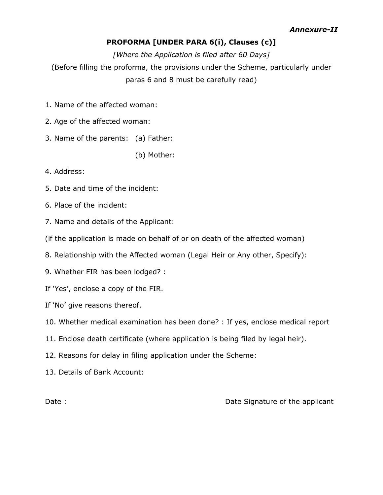## **PROFORMA [UNDER PARA 6(i), Clauses (c)]**

*[Where the Application is filed after 60 Days]*  (Before filling the proforma, the provisions under the Scheme, particularly under paras 6 and 8 must be carefully read)

- 1. Name of the affected woman:
- 2. Age of the affected woman:
- 3. Name of the parents: (a) Father:

(b) Mother:

- 4. Address:
- 5. Date and time of the incident:
- 6. Place of the incident:
- 7. Name and details of the Applicant:
- (if the application is made on behalf of or on death of the affected woman)
- 8. Relationship with the Affected woman (Legal Heir or Any other, Specify):
- 9. Whether FIR has been lodged? :
- If 'Yes', enclose a copy of the FIR.
- If 'No' give reasons thereof.
- 10. Whether medical examination has been done? : If yes, enclose medical report
- 11. Enclose death certificate (where application is being filed by legal heir).
- 12. Reasons for delay in filing application under the Scheme:
- 13. Details of Bank Account:

Date : Date Signature of the applicant